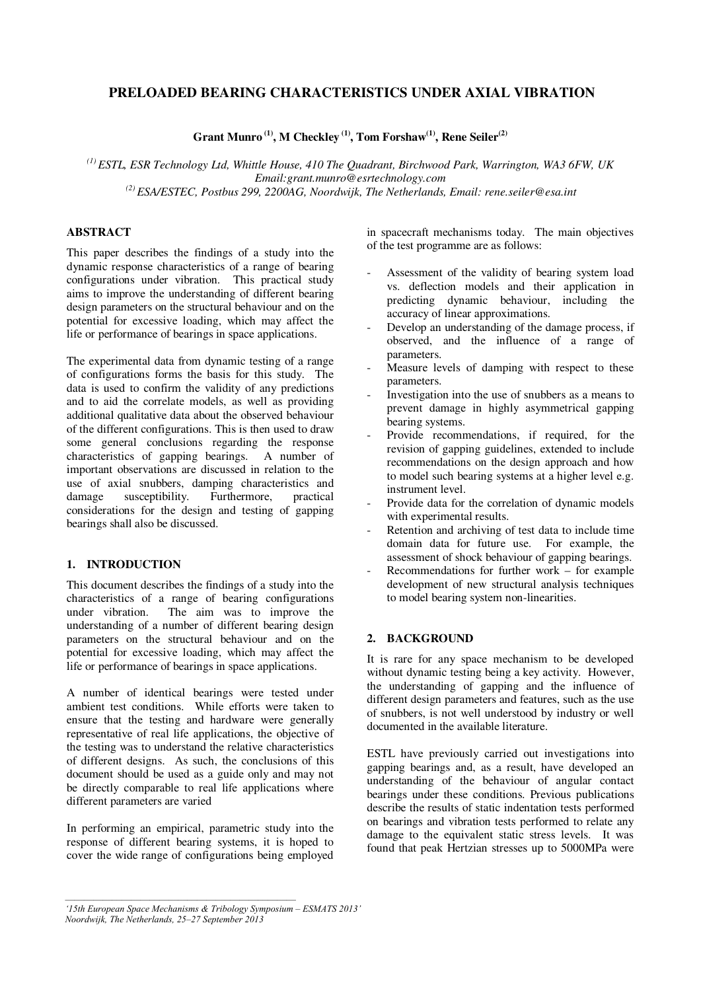# **PRELOADED BEARING CHARACTERISTICS UNDER AXIAL VIBRATION**

**Grant Munro (1), M Checkley (1), Tom Forshaw(1), Rene Seiler(2)**

*(1) ESTL, ESR Technology Ltd, Whittle House, 410 The Quadrant, Birchwood Park, Warrington, WA3 6FW, UK Email:grant.munro@esrtechnology.com (2) ESA/ESTEC, Postbus 299, 2200AG, Noordwijk, The Netherlands, Email: rene.seiler@esa.int* 

# **ABSTRACT**

This paper describes the findings of a study into the dynamic response characteristics of a range of bearing configurations under vibration. This practical study aims to improve the understanding of different bearing design parameters on the structural behaviour and on the potential for excessive loading, which may affect the life or performance of bearings in space applications.

The experimental data from dynamic testing of a range of configurations forms the basis for this study. The data is used to confirm the validity of any predictions and to aid the correlate models, as well as providing additional qualitative data about the observed behaviour of the different configurations. This is then used to draw some general conclusions regarding the response characteristics of gapping bearings. A number of important observations are discussed in relation to the use of axial snubbers, damping characteristics and<br>damage susceptibility. Furthermore, practical susceptibility. considerations for the design and testing of gapping bearings shall also be discussed.

# **1. INTRODUCTION**

This document describes the findings of a study into the characteristics of a range of bearing configurations under vibration. The aim was to improve the understanding of a number of different bearing design parameters on the structural behaviour and on the potential for excessive loading, which may affect the life or performance of bearings in space applications.

A number of identical bearings were tested under ambient test conditions. While efforts were taken to ensure that the testing and hardware were generally representative of real life applications, the objective of the testing was to understand the relative characteristics of different designs. As such, the conclusions of this document should be used as a guide only and may not be directly comparable to real life applications where different parameters are varied

In performing an empirical, parametric study into the response of different bearing systems, it is hoped to cover the wide range of configurations being employed in spacecraft mechanisms today. The main objectives of the test programme are as follows:

- Assessment of the validity of bearing system load vs. deflection models and their application in predicting dynamic behaviour, including the accuracy of linear approximations.
- Develop an understanding of the damage process, if observed, and the influence of a range of parameters.
- Measure levels of damping with respect to these parameters.
- Investigation into the use of snubbers as a means to prevent damage in highly asymmetrical gapping bearing systems.
- Provide recommendations, if required, for the revision of gapping guidelines, extended to include recommendations on the design approach and how to model such bearing systems at a higher level e.g. instrument level.
- Provide data for the correlation of dynamic models with experimental results.
- Retention and archiving of test data to include time domain data for future use. For example, the assessment of shock behaviour of gapping bearings.
- $Recommendations for further work for example$ development of new structural analysis techniques to model bearing system non-linearities.

# **2. BACKGROUND**

It is rare for any space mechanism to be developed without dynamic testing being a key activity. However, the understanding of gapping and the influence of different design parameters and features, such as the use of snubbers, is not well understood by industry or well documented in the available literature.

ESTL have previously carried out investigations into gapping bearings and, as a result, have developed an understanding of the behaviour of angular contact bearings under these conditions. Previous publications describe the results of static indentation tests performed on bearings and vibration tests performed to relate any damage to the equivalent static stress levels. It was found that peak Hertzian stresses up to 5000MPa were

*<sup>&#</sup>x27;15th European Space Mechanisms & Tribology Symposium – ESMATS 2013' Noordwijk, The Netherlands, 25–27 September 2013*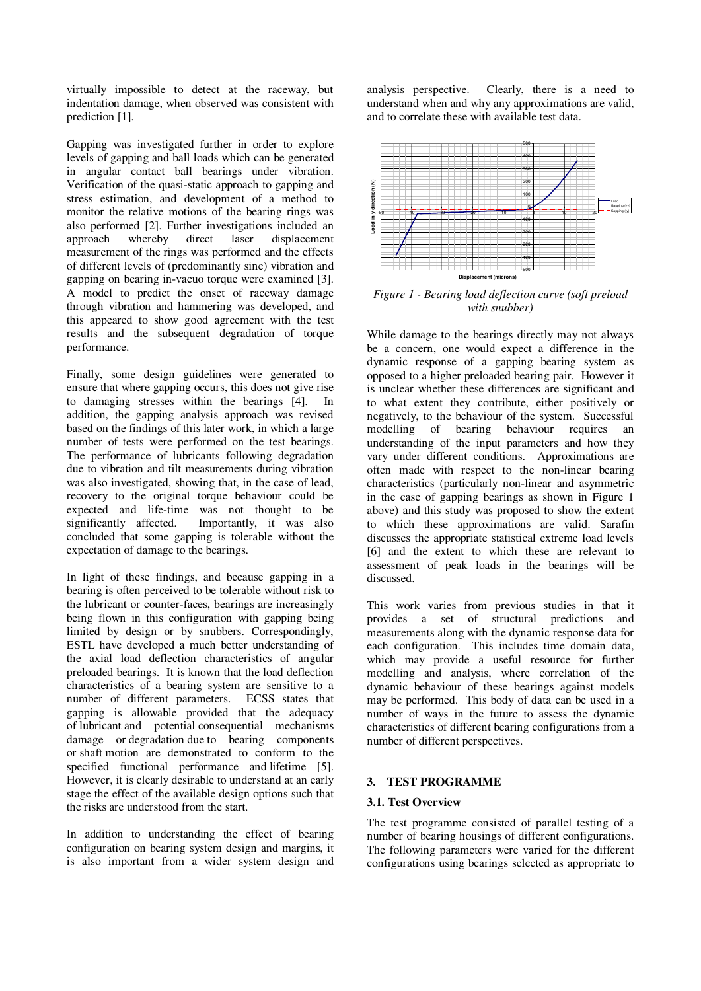virtually impossible to detect at the raceway, but indentation damage, when observed was consistent with prediction [1].

Gapping was investigated further in order to explore levels of gapping and ball loads which can be generated in angular contact ball bearings under vibration. Verification of the quasi-static approach to gapping and stress estimation, and development of a method to monitor the relative motions of the bearing rings was also performed [2]. Further investigations included an approach whereby direct laser displacement displacement measurement of the rings was performed and the effects of different levels of (predominantly sine) vibration and gapping on bearing in-vacuo torque were examined [3]. A model to predict the onset of raceway damage through vibration and hammering was developed, and this appeared to show good agreement with the test results and the subsequent degradation of torque performance.

Finally, some design guidelines were generated to ensure that where gapping occurs, this does not give rise to damaging stresses within the bearings [4]. In addition, the gapping analysis approach was revised based on the findings of this later work, in which a large number of tests were performed on the test bearings. The performance of lubricants following degradation due to vibration and tilt measurements during vibration was also investigated, showing that, in the case of lead, recovery to the original torque behaviour could be expected and life-time was not thought to be significantly affected. Importantly, it was also Importantly, it was also concluded that some gapping is tolerable without the expectation of damage to the bearings.

In light of these findings, and because gapping in a bearing is often perceived to be tolerable without risk to the lubricant or counter-faces, bearings are increasingly being flown in this configuration with gapping being limited by design or by snubbers. Correspondingly, ESTL have developed a much better understanding of the axial load deflection characteristics of angular preloaded bearings. It is known that the load deflection characteristics of a bearing system are sensitive to a number of different parameters. ECSS states that gapping is allowable provided that the adequacy of lubricant and potential consequential mechanisms damage or degradation due to bearing components or shaft motion are demonstrated to conform to the specified functional performance and lifetime [5]. However, it is clearly desirable to understand at an early stage the effect of the available design options such that the risks are understood from the start.

In addition to understanding the effect of bearing configuration on bearing system design and margins, it is also important from a wider system design and analysis perspective. Clearly, there is a need to understand when and why any approximations are valid, and to correlate these with available test data.



*Figure 1 - Bearing load deflection curve (soft preload with snubber)* 

While damage to the bearings directly may not always be a concern, one would expect a difference in the dynamic response of a gapping bearing system as opposed to a higher preloaded bearing pair. However it is unclear whether these differences are significant and to what extent they contribute, either positively or negatively, to the behaviour of the system. Successful modelling of bearing behaviour requires an understanding of the input parameters and how they vary under different conditions. Approximations are often made with respect to the non-linear bearing characteristics (particularly non-linear and asymmetric in the case of gapping bearings as shown in Figure 1 above) and this study was proposed to show the extent to which these approximations are valid. Sarafin discusses the appropriate statistical extreme load levels [6] and the extent to which these are relevant to assessment of peak loads in the bearings will be discussed.

This work varies from previous studies in that it provides a set of structural predictions and measurements along with the dynamic response data for each configuration. This includes time domain data, which may provide a useful resource for further modelling and analysis, where correlation of the dynamic behaviour of these bearings against models may be performed. This body of data can be used in a number of ways in the future to assess the dynamic characteristics of different bearing configurations from a number of different perspectives.

## **3. TEST PROGRAMME**

## **3.1. Test Overview**

The test programme consisted of parallel testing of a number of bearing housings of different configurations. The following parameters were varied for the different configurations using bearings selected as appropriate to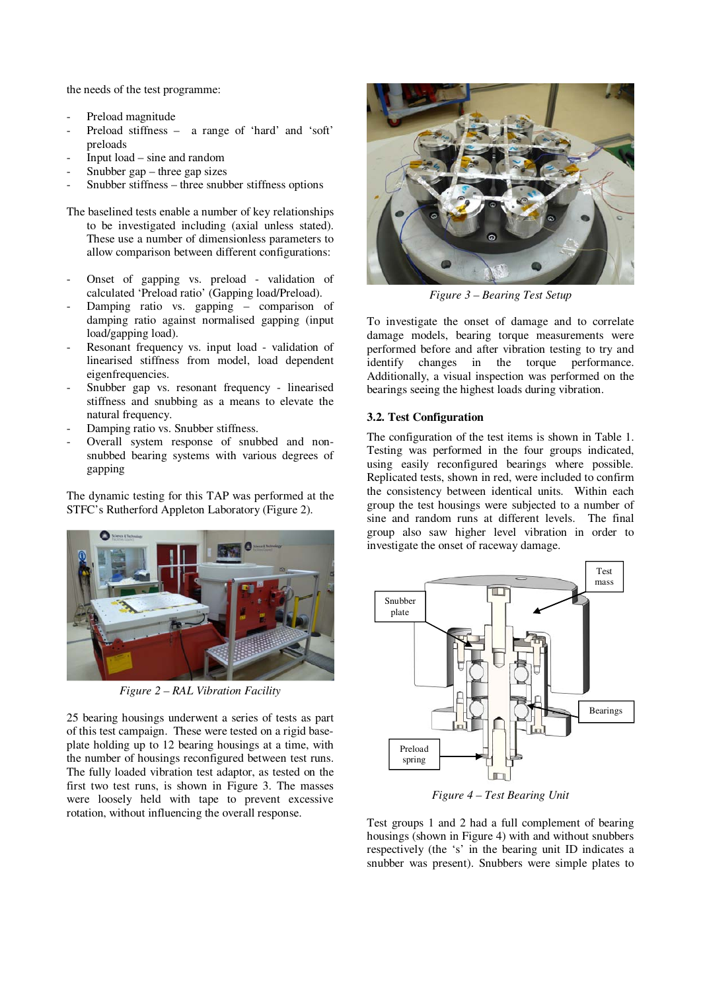the needs of the test programme:

- Preload magnitude
- Preload stiffness a range of 'hard' and 'soft' preloads
- Input load sine and random
- Snubber  $gap$  three gap sizes
- Snubber stiffness three snubber stiffness options
- The baselined tests enable a number of key relationships to be investigated including (axial unless stated). These use a number of dimensionless parameters to allow comparison between different configurations:
- Onset of gapping vs. preload validation of calculated 'Preload ratio' (Gapping load/Preload).
- Damping ratio vs. gapping  $-$  comparison of damping ratio against normalised gapping (input load/gapping load).
- Resonant frequency vs. input load validation of linearised stiffness from model, load dependent eigenfrequencies.
- Snubber gap vs. resonant frequency linearised stiffness and snubbing as a means to elevate the natural frequency.
- Damping ratio vs. Snubber stiffness.
- Overall system response of snubbed and nonsnubbed bearing systems with various degrees of gapping

The dynamic testing for this TAP was performed at the STFC's Rutherford Appleton Laboratory (Figure 2).



*Figure 2 – RAL Vibration Facility*

25 bearing housings underwent a series of tests as part of this test campaign. These were tested on a rigid baseplate holding up to 12 bearing housings at a time, with the number of housings reconfigured between test runs. The fully loaded vibration test adaptor, as tested on the first two test runs, is shown in Figure 3. The masses were loosely held with tape to prevent excessive rotation, without influencing the overall response.



*Figure 3 – Bearing Test Setup* 

To investigate the onset of damage and to correlate damage models, bearing torque measurements were performed before and after vibration testing to try and identify changes in the torque performance. Additionally, a visual inspection was performed on the bearings seeing the highest loads during vibration.

### **3.2. Test Configuration**

The configuration of the test items is shown in Table 1. Testing was performed in the four groups indicated, using easily reconfigured bearings where possible. Replicated tests, shown in red, were included to confirm the consistency between identical units. Within each group the test housings were subjected to a number of sine and random runs at different levels. The final group also saw higher level vibration in order to investigate the onset of raceway damage.



*Figure 4 – Test Bearing Unit*

Test groups 1 and 2 had a full complement of bearing housings (shown in Figure 4) with and without snubbers respectively (the 's' in the bearing unit ID indicates a snubber was present). Snubbers were simple plates to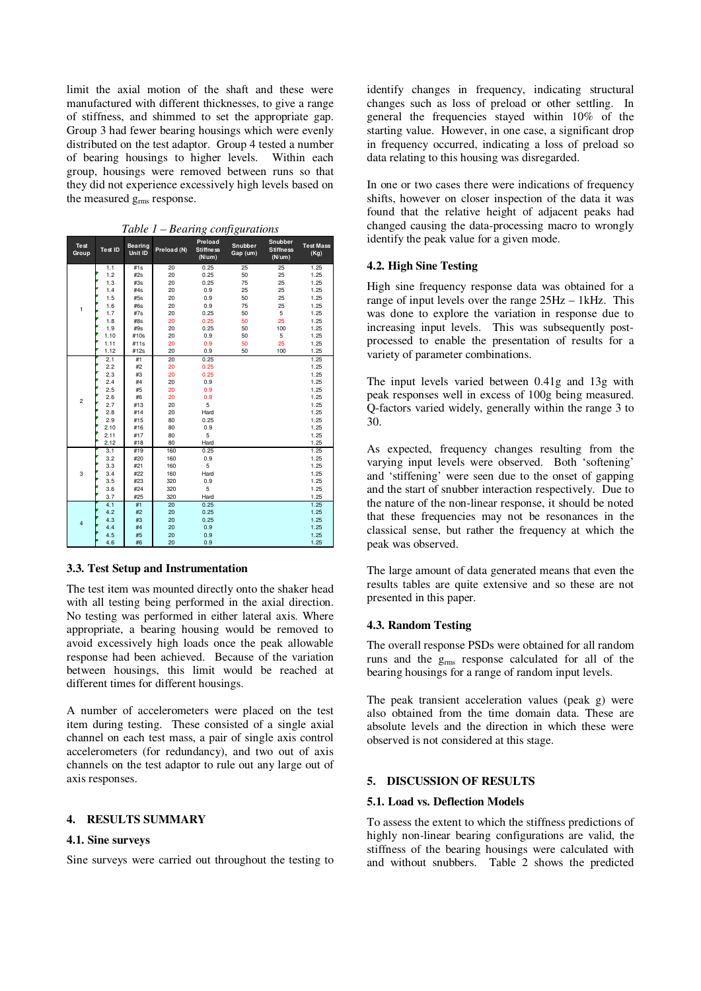limit the axial motion of the shaft and these were manufactured with different thicknesses, to give a range of stiffness, and shimmed to set the appropriate gap. Group 3 had fewer bearing housings which were evenly distributed on the test adaptor. Group 4 tested a number of bearing housings to higher levels. Within each group, housings were removed between runs so that they did not experience excessively high levels based on the measured g<sub>rms</sub> response.

| <b>Test</b><br>Group | Test ID | <b>Bearing</b><br>Unit ID | Preload (N) | Preload<br><b>Stiffness</b><br>(N/um) | Snubber<br>Gap (um) | Snubber<br><b>Stiffness</b><br>(N/um) | <b>Test Mass</b><br>(Kg) |
|----------------------|---------|---------------------------|-------------|---------------------------------------|---------------------|---------------------------------------|--------------------------|
|                      | 1.1     | #1s                       | 20          | 0.25                                  | 25                  | 25                                    | 1.25                     |
|                      | 1.2     | #2s                       | 20          | 0.25                                  | 50                  | 25                                    | 1.25                     |
|                      | 1.3     | #3s                       | 20          | 0.25                                  | 75                  | 25                                    | 1.25                     |
|                      | 1.4     | #4s                       | 20          | 0.9                                   | 25                  | 25                                    | 1.25                     |
|                      | 1.5     | #5s                       | 20          | 0.9                                   | 50                  | 25                                    | 1.25                     |
| 1                    | 1.6     | #6s                       | 20          | 0.9                                   | 75                  | 25                                    | 1.25                     |
|                      | 1.7     | #7s                       | 20          | 0.25                                  | 50                  | 5                                     | 1.25                     |
|                      | 1.8     | #8s                       | 20          | 0.25                                  | 50                  | 25                                    | 1.25                     |
|                      | 1.9     | #9s                       | 20          | 0.25                                  | 50                  | 100                                   | 1.25                     |
|                      | 1.10    | #10s                      | 20          | 0.9                                   | 50                  | 5                                     | 1.25                     |
|                      | 1.11    | #11s                      | 20          | 0.9                                   | 50                  | 25                                    | 1.25                     |
|                      | 1.12    | #12s                      | 20          | 0.9                                   | 50                  | 100                                   | 1.25                     |
|                      | 2.1     | #1                        | 20          | 0.25                                  |                     |                                       | 1.25                     |
|                      | 2.2     | #2                        | 20          | 0.25                                  |                     |                                       | 1.25                     |
|                      | 2.3     | #3                        | 20          | 0.25                                  |                     |                                       | 1.25                     |
|                      | 2.4     | #4                        | 20          | 0.9                                   |                     |                                       | 1.25                     |
|                      | 2.5     | #5                        | 20          | 0.9                                   |                     |                                       | 1.25                     |
| $\overline{2}$       | 2.6     | #6                        | 20          | 0.9                                   |                     |                                       | 1.25                     |
|                      | 2.7     | #13                       | 20          | 5                                     |                     |                                       | 1.25                     |
|                      | 2.8     | #14                       | 20          | Hard                                  |                     |                                       | 1.25                     |
|                      | 2.9     | #15                       | 80          | 0.25                                  |                     |                                       | 1.25                     |
|                      | 2.10    | #16                       | 80          | 0.9                                   |                     |                                       | 1.25                     |
|                      | 2.11    | #17                       | 80          | 5                                     |                     |                                       | 1.25                     |
|                      | 2.12    | #18                       | 80          | Hard                                  |                     |                                       | 1.25                     |
|                      | 3.1     | #19                       | 160         | 0.25                                  |                     |                                       | 1.25                     |
|                      | 3.2     | #20                       | 160         | 0.9                                   |                     |                                       | 1.25                     |
|                      | 3.3     | #21                       | 160         | 5                                     |                     |                                       | 1.25                     |
| 3                    | 3.4     | #22                       | 160         | Hard                                  |                     |                                       | 1.25                     |
|                      | 3.5     | #23                       | 320         | 0.9                                   |                     |                                       | 1.25                     |
|                      | 3.6     | #24                       | 320         | 5                                     |                     |                                       | 1.25                     |
|                      | 3.7     | #25                       | 320         | Hard                                  |                     |                                       | 1.25                     |
|                      | 4.1     | #1                        | 20          | 0.25                                  |                     |                                       | 1.25                     |
|                      | 4.2     | #2                        | 20          | 0.25                                  |                     |                                       | 1.25                     |
| $\overline{4}$       | 4.3     | #3                        | 20          | 0.25                                  |                     |                                       | 1.25                     |
|                      | 4.4     | #4                        | 20          | 0.9                                   |                     |                                       | 1.25                     |
|                      | 4.5     | #5                        | 20          | 0.9                                   |                     |                                       | 1.25                     |
|                      | 4.6     | #6                        | 20          | 0.9                                   |                     |                                       | 1.25                     |

## *Table 1 – Bearing configurations*

#### **3.3. Test Setup and Instrumentation**

The test item was mounted directly onto the shaker head with all testing being performed in the axial direction. No testing was performed in either lateral axis. Where appropriate, a bearing housing would be removed to avoid excessively high loads once the peak allowable response had been achieved. Because of the variation between housings, this limit would be reached at different times for different housings.

A number of accelerometers were placed on the test item during testing. These consisted of a single axial channel on each test mass, a pair of single axis control accelerometers (for redundancy), and two out of axis channels on the test adaptor to rule out any large out of axis responses.

# **4. RESULTS SUMMARY**

#### **4.1. Sine surveys**

Sine surveys were carried out throughout the testing to

identify changes in frequency, indicating structural changes such as loss of preload or other settling. In general the frequencies stayed within 10% of the starting value. However, in one case, a significant drop in frequency occurred, indicating a loss of preload so data relating to this housing was disregarded.

In one or two cases there were indications of frequency shifts, however on closer inspection of the data it was found that the relative height of adjacent peaks had changed causing the data-processing macro to wrongly identify the peak value for a given mode.

### **4.2. High Sine Testing**

High sine frequency response data was obtained for a range of input levels over the range 25Hz – 1kHz. This was done to explore the variation in response due to increasing input levels. This was subsequently postprocessed to enable the presentation of results for a variety of parameter combinations.

The input levels varied between 0.41g and 13g with peak responses well in excess of 100g being measured. Q-factors varied widely, generally within the range 3 to 30.

As expected, frequency changes resulting from the varying input levels were observed. Both 'softening' and 'stiffening' were seen due to the onset of gapping and the start of snubber interaction respectively. Due to the nature of the non-linear response, it should be noted that these frequencies may not be resonances in the classical sense, but rather the frequency at which the peak was observed.

The large amount of data generated means that even the results tables are quite extensive and so these are not presented in this paper.

### **4.3. Random Testing**

The overall response PSDs were obtained for all random runs and the grms response calculated for all of the bearing housings for a range of random input levels.

The peak transient acceleration values (peak g) were also obtained from the time domain data. These are absolute levels and the direction in which these were observed is not considered at this stage.

### **5. DISCUSSION OF RESULTS**

#### **5.1. Load vs. Deflection Models**

To assess the extent to which the stiffness predictions of highly non-linear bearing configurations are valid, the stiffness of the bearing housings were calculated with and without snubbers. Table 2 shows the predicted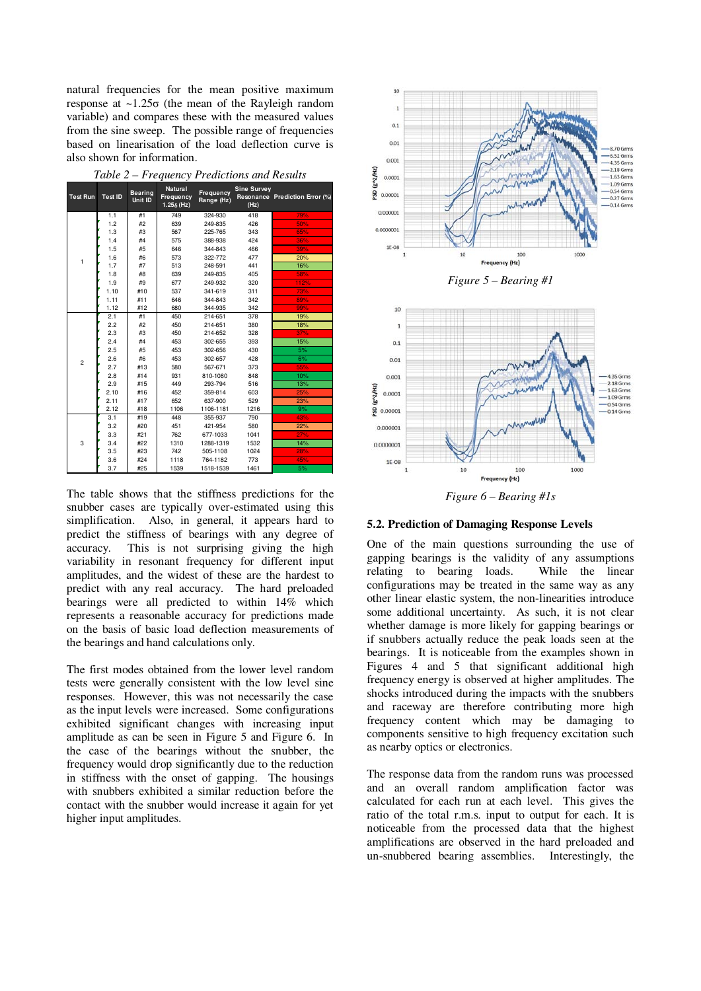natural frequencies for the mean positive maximum response at ~1.25σ (the mean of the Rayleigh random variable) and compares these with the measured values from the sine sweep. The possible range of frequencies based on linearisation of the load deflection curve is also shown for information.

| Table 2 – Frequency Predictions and Results |  |  |
|---------------------------------------------|--|--|
|---------------------------------------------|--|--|

| <b>Test Run</b> | <b>Test ID</b> | <b>Bearing</b><br>Unit ID | <b>Natural</b><br>Frequency<br>$1.25_{\delta}$ (Hz) | Frequency<br>Range (Hz) | <b>Sine Survey</b><br>(Hz) | Resonance Prediction Error (%) |
|-----------------|----------------|---------------------------|-----------------------------------------------------|-------------------------|----------------------------|--------------------------------|
|                 | 1.1            | #1                        | 749                                                 | 324-930                 | 418                        |                                |
|                 |                |                           |                                                     |                         |                            | 79%                            |
|                 | 1.2            | #2                        | 639                                                 | 249-835                 | 426                        | 50%                            |
|                 | 1.3            | #3                        | 567                                                 | 225-765                 | 343                        | 65%                            |
|                 | 1.4            | #4                        | 575                                                 | 388-938                 | 424                        | 36%                            |
|                 | 1.5            | #5                        | 646                                                 | 344-843                 | 466                        | 39%                            |
| 1               | 1.6            | #6                        | 573                                                 | 322-772                 | 477                        | 20%                            |
|                 | 1.7            | #7                        | 513                                                 | 248-591                 | 441                        | 16%                            |
|                 | 1.8            | #8                        | 639                                                 | 249-835                 | 405                        | 58%                            |
|                 | 1.9            | #9                        | 677                                                 | 249-932                 | 320                        | 112%                           |
|                 | 1.10           | #10                       | 537                                                 | 341-619                 | 311                        | 73%                            |
|                 | 1.11           | #11                       | 646                                                 | 344-843                 | 342                        | 89%                            |
|                 | 1.12           | #12                       | 680                                                 | 344-935                 | 342                        | 99%                            |
|                 | 2.1            | #1                        | 450                                                 | 214-651                 | 378                        | 19%                            |
|                 | 2.2            | #2                        | 450                                                 | 214-651                 | 380                        | 18%                            |
|                 | 2.3            | #3                        | 450                                                 | 214-652                 | 328                        | 37%                            |
|                 | 2.4            | #4                        | 453                                                 | 302-655                 | 393                        | 15%                            |
|                 | 2.5            | #5                        | 453                                                 | 302-656                 | 430                        | 5%                             |
|                 | 2.6            | #6                        | 453                                                 | 302-657                 | 428                        | 6%                             |
| $\overline{c}$  | 2.7            | #13                       | 580                                                 | 567-671                 | 373                        | 55%                            |
|                 | 2.8            | #14                       | 931                                                 | 810-1080                | 848                        | 10%                            |
|                 | 2.9            | #15                       | 449                                                 | 293-794                 | 516                        | 13%                            |
|                 | 2.10           | #16                       | 452                                                 | 359-814                 | 603                        | 25%                            |
|                 | 2.11           | #17                       | 652                                                 | 637-900                 | 529                        | 23%                            |
|                 | 2.12           | #18                       | 1106                                                | 1106-1181               | 1216                       | 9%                             |
|                 | 3.1            | #19                       | 448                                                 | 355-937                 | 790                        | 43%                            |
|                 | 3.2            | #20                       | 451                                                 | 421-954                 | 580                        | 22%                            |
|                 | 3.3            | #21                       | 762                                                 | 677-1033                | 1041                       | 27%                            |
| 3               | 3.4            | #22                       | 1310                                                | 1288-1319               | 1532                       | 14%                            |
|                 | 3.5            | #23                       | 742                                                 | 505-1108                | 1024                       | 28%                            |
|                 | 3.6            | #24                       | 1118                                                | 764-1182                | 773                        | 45%                            |
|                 | 3.7            | #25                       | 1539                                                | 1518-1539               | 1461                       | 5%                             |

The table shows that the stiffness predictions for the snubber cases are typically over-estimated using this simplification. Also, in general, it appears hard to predict the stiffness of bearings with any degree of accuracy. This is not surprising giving the high variability in resonant frequency for different input amplitudes, and the widest of these are the hardest to predict with any real accuracy. The hard preloaded bearings were all predicted to within 14% which represents a reasonable accuracy for predictions made on the basis of basic load deflection measurements of the bearings and hand calculations only.

The first modes obtained from the lower level random tests were generally consistent with the low level sine responses. However, this was not necessarily the case as the input levels were increased. Some configurations exhibited significant changes with increasing input amplitude as can be seen in Figure 5 and Figure 6. In the case of the bearings without the snubber, the frequency would drop significantly due to the reduction in stiffness with the onset of gapping. The housings with snubbers exhibited a similar reduction before the contact with the snubber would increase it again for yet higher input amplitudes.



**5.2. Prediction of Damaging Response Levels** 

One of the main questions surrounding the use of gapping bearings is the validity of any assumptions relating to bearing loads. While the linear configurations may be treated in the same way as any other linear elastic system, the non-linearities introduce some additional uncertainty. As such, it is not clear whether damage is more likely for gapping bearings or if snubbers actually reduce the peak loads seen at the bearings. It is noticeable from the examples shown in Figures 4 and 5 that significant additional high frequency energy is observed at higher amplitudes. The shocks introduced during the impacts with the snubbers and raceway are therefore contributing more high frequency content which may be damaging to components sensitive to high frequency excitation such as nearby optics or electronics.

The response data from the random runs was processed and an overall random amplification factor was calculated for each run at each level. This gives the ratio of the total r.m.s. input to output for each. It is noticeable from the processed data that the highest amplifications are observed in the hard preloaded and un-snubbered bearing assemblies. Interestingly, the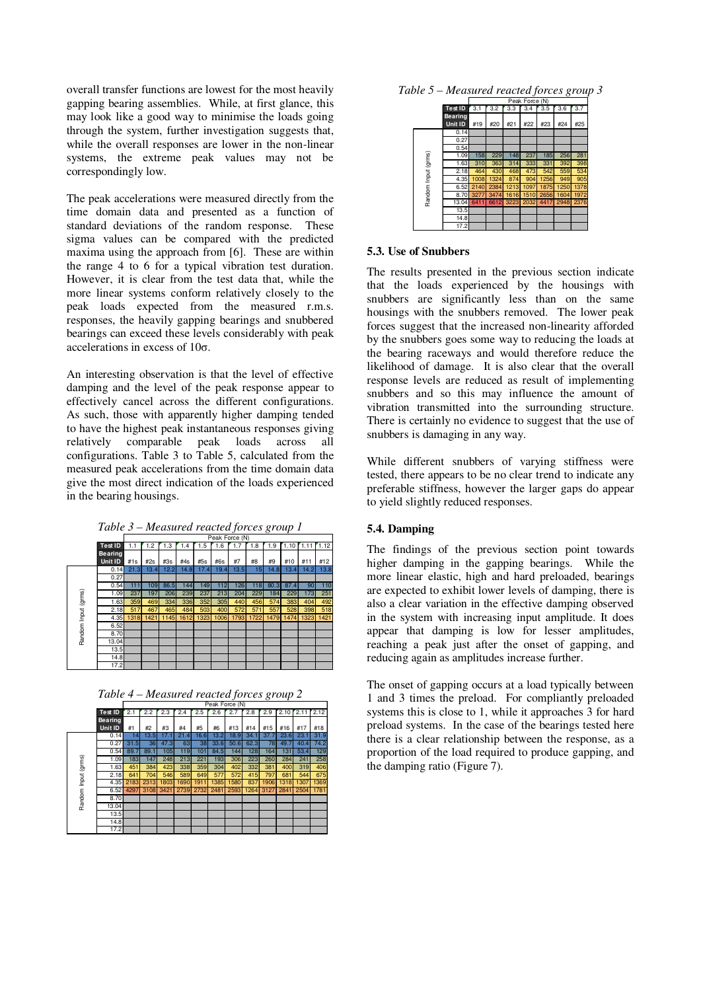overall transfer functions are lowest for the most heavily gapping bearing assemblies. While, at first glance, this may look like a good way to minimise the loads going through the system, further investigation suggests that, while the overall responses are lower in the non-linear systems, the extreme peak values may not be correspondingly low.

The peak accelerations were measured directly from the time domain data and presented as a function of standard deviations of the random response. These sigma values can be compared with the predicted maxima using the approach from [6]. These are within the range 4 to 6 for a typical vibration test duration. However, it is clear from the test data that, while the more linear systems conform relatively closely to the peak loads expected from the measured r.m.s. responses, the heavily gapping bearings and snubbered bearings can exceed these levels considerably with peak accelerations in excess of 10σ.

An interesting observation is that the level of effective damping and the level of the peak response appear to effectively cancel across the different configurations. As such, those with apparently higher damping tended to have the highest peak instantaneous responses giving relatively comparable peak loads across all configurations. Table 3 to Table 5, calculated from the measured peak accelerations from the time domain data give the most direct indication of the loads experienced in the bearing housings.



|                    |                           |      | Peak Force (N) |      |      |      |      |      |      |      |      |            |      |
|--------------------|---------------------------|------|----------------|------|------|------|------|------|------|------|------|------------|------|
|                    | <b>Test ID</b>            | 1.1  | 1.2            | 1.3  | 1.4  | 1.5  | 1.6  | 1.7  | 1.8  | 1.9  | 1.10 | $r_{1.11}$ | 1.12 |
|                    | <b>Bearing</b><br>Unit ID | #1s  | #2s            | #3s  | #4s  | #5s  | #6s  | #7   | #8   | #9   | #10  | #11        | #12  |
|                    | 0.14                      | 21.3 | 13.4           | 12.2 | 14.8 | 17.4 | 19.4 | 13.5 | 15   | 14.8 | 13.4 | 14.2       | 13.8 |
|                    | 0.27                      |      |                |      |      |      |      |      |      |      |      |            |      |
|                    | 0.54                      | 111  | 109            | 86.5 | 144  | 149  | 112  | 126  | 118  | 80.3 | 87.4 | 90         | 110  |
|                    | 1.09                      | 237  | 197            | 206  | 239  | 237  | 213  | 204  | 229  | 184  | 229  | 173        | 251  |
| Random Input (gms) | 1.63                      | 359  | 469            | 334  | 336  | 352  | 305  | 440  | 456  | 574  | 383  | 404        | 492  |
|                    | 2.18                      | 517  | 467            | 465  | 484  | 503  | 400  | 572  | 571  | 557  | 528  | 398        | 518  |
|                    | 4.35                      | 1318 | 1421           | 1145 | 1612 | 1323 | 1006 | 1793 | 1722 | 1479 | 1474 | 1323       | 1421 |
|                    | 6.52                      |      |                |      |      |      |      |      |      |      |      |            |      |
|                    | 8.70                      |      |                |      |      |      |      |      |      |      |      |            |      |
|                    | 13.04                     |      |                |      |      |      |      |      |      |      |      |            |      |
|                    | 13.5                      |      |                |      |      |      |      |      |      |      |      |            |      |
|                    | 14.8                      |      |                |      |      |      |      |      |      |      |      |            |      |
|                    | 17.2                      |      |                |      |      |      |      |      |      |      |      |            |      |



|                     |                |      |      |      |      |      | Peak Force (N) |      |      |      |      |               |      |
|---------------------|----------------|------|------|------|------|------|----------------|------|------|------|------|---------------|------|
|                     | <b>Test ID</b> | 2.1  | 2.2  | 2.3  | 2.4  | 2.5  | 2.6            | 2.7  | 2.8  | 2.9  |      | $2.10$ $2.11$ | 2.12 |
|                     | <b>Bearing</b> |      |      |      |      |      |                |      |      |      |      |               |      |
|                     | Unit ID        | #1   | #2   | #3   | #4   | #5   | #6             | #13  | #14  | #15  | #16  | #17           | #18  |
|                     | 0.14           | 14   | 13.5 | 17.1 | 21.4 | 16.6 | 13.2           | 18.9 | 34.1 | 37.7 | 23.6 | 23.1          | 31.9 |
|                     | 0.27           | 31.5 | 36   | 47.3 | 63   | 38   | 33.6           | 50.6 | 62.3 | 78   | 49.7 | 40.4          | 74.2 |
|                     | 0.54           | 89.7 | 89.1 | 105  | 119  | 101  | 84.5           | 144  | 128  | 164  | 131  | 53.4          | 129  |
|                     | 1.09           | 183  | 147  | 248  | 213  | 221  | 193            | 306  | 223  | 260  | 284  | 241           | 258  |
|                     | 1.63           | 451  | 384  | 423  | 338  | 359  | 304            | 402  | 332  | 381  | 400  | 319           | 406  |
|                     | 2.18           | 641  | 704  | 546  | 589  | 649  | 577            | 572  | 415  | 797  | 681  | 544           | 675  |
|                     | 4.35           | 2183 | 2313 | 1803 | 1690 | 1911 | 1385           | 1580 | 837  | 1906 | 1318 | 1307          | 1369 |
|                     | 6.52           | 4297 | 3108 | 3421 | 2739 | 2732 | 2481           | 2593 | 1264 | 3127 | 2841 | 2504          | 1781 |
| Random Input (grms) | 8.70           |      |      |      |      |      |                |      |      |      |      |               |      |
|                     | 13.04          |      |      |      |      |      |                |      |      |      |      |               |      |
|                     | 13.5           |      |      |      |      |      |                |      |      |      |      |               |      |
|                     | 14.8           |      |      |      |      |      |                |      |      |      |      |               |      |
|                     | 17.2           |      |      |      |      |      |                |      |      |      |      |               |      |



|              |                                  | Peak Force (N) |      |      |      |      |      |      |  |
|--------------|----------------------------------|----------------|------|------|------|------|------|------|--|
|              | <b>Test ID</b>                   | 3.1            | 3.2  | 3.3  | 3.4  | 3.5  | 3.6  | 3.7  |  |
|              | <b>Bearing</b><br><b>Unit ID</b> | #19            | #20  | #21  | #22  | #23  | #24  | #25  |  |
|              | 0.14                             |                |      |      |      |      |      |      |  |
|              | 0.27                             |                |      |      |      |      |      |      |  |
|              | 0.54                             |                |      |      |      |      |      |      |  |
|              | 1.09                             | 158            | 229  | 148  | 237  | 185  | 256  | 281  |  |
| (grms)       | 1.63                             | 310            | 363  | 314  | 333  | 331  | 392  | 398  |  |
|              | 2.18                             | 464            | 430  | 468  | 473  | 542  | 559  | 534  |  |
|              | 4.35                             | 1008           | 1324 | 874  | 904  | 1256 | 949  | 905  |  |
| Random Input | 6.52                             | 2140           | 2384 | 1213 | 1097 | 1875 | 1250 | 1378 |  |
|              | 8.70                             | 3277           | 3474 | 1616 | 1510 | 2656 | 1604 | 1972 |  |
|              | 13.04                            | 6411           | 6612 | 3223 | 2032 | 4417 | 2948 | 2376 |  |
|              | 13.5                             |                |      |      |      |      |      |      |  |
|              | 14.8                             |                |      |      |      |      |      |      |  |
|              | 17.2                             |                |      |      |      |      |      |      |  |

#### **5.3. Use of Snubbers**

The results presented in the previous section indicate that the loads experienced by the housings with snubbers are significantly less than on the same housings with the snubbers removed. The lower peak forces suggest that the increased non-linearity afforded by the snubbers goes some way to reducing the loads at the bearing raceways and would therefore reduce the likelihood of damage. It is also clear that the overall response levels are reduced as result of implementing snubbers and so this may influence the amount of vibration transmitted into the surrounding structure. There is certainly no evidence to suggest that the use of snubbers is damaging in any way.

While different snubbers of varying stiffness were tested, there appears to be no clear trend to indicate any preferable stiffness, however the larger gaps do appear to yield slightly reduced responses.

#### **5.4. Damping**

The findings of the previous section point towards higher damping in the gapping bearings. While the more linear elastic, high and hard preloaded, bearings are expected to exhibit lower levels of damping, there is also a clear variation in the effective damping observed in the system with increasing input amplitude. It does appear that damping is low for lesser amplitudes, reaching a peak just after the onset of gapping, and reducing again as amplitudes increase further.

The onset of gapping occurs at a load typically between 1 and 3 times the preload. For compliantly preloaded systems this is close to 1, while it approaches 3 for hard preload systems. In the case of the bearings tested here there is a clear relationship between the response, as a proportion of the load required to produce gapping, and the damping ratio (Figure 7).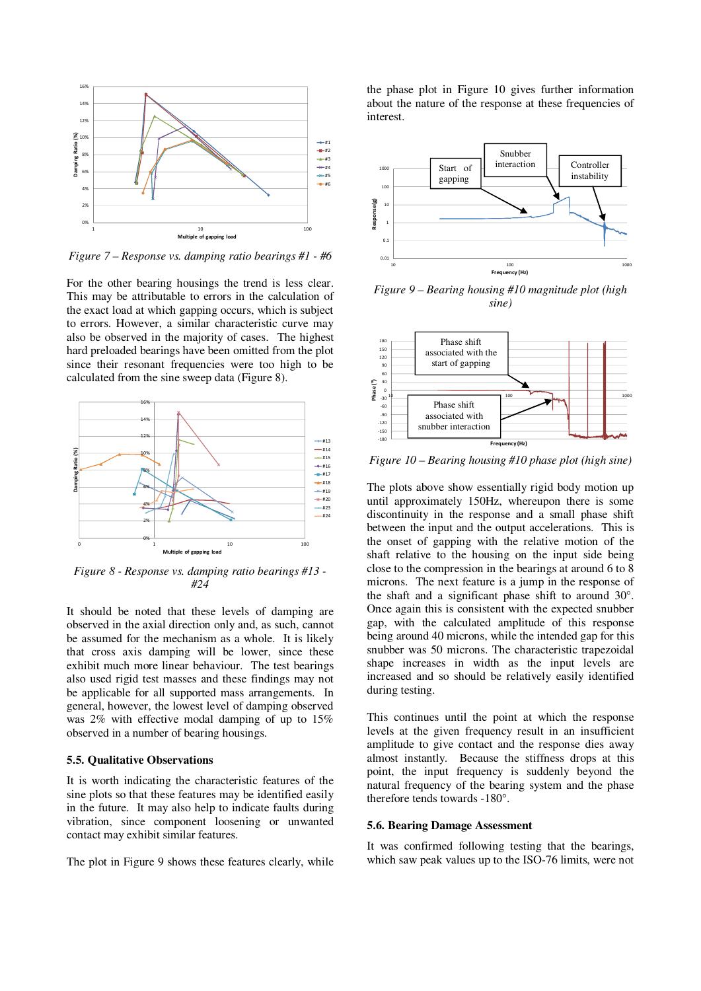

*Figure 7 – Response vs. damping ratio bearings #1 - #6* 

For the other bearing housings the trend is less clear. This may be attributable to errors in the calculation of the exact load at which gapping occurs, which is subject to errors. However, a similar characteristic curve may also be observed in the majority of cases. The highest hard preloaded bearings have been omitted from the plot since their resonant frequencies were too high to be calculated from the sine sweep data (Figure 8).



*Figure 8 - Response vs. damping ratio bearings #13 - #24* 

It should be noted that these levels of damping are observed in the axial direction only and, as such, cannot be assumed for the mechanism as a whole. It is likely that cross axis damping will be lower, since these exhibit much more linear behaviour. The test bearings also used rigid test masses and these findings may not be applicable for all supported mass arrangements. In general, however, the lowest level of damping observed was 2% with effective modal damping of up to 15% observed in a number of bearing housings.

#### **5.5. Qualitative Observations**

It is worth indicating the characteristic features of the sine plots so that these features may be identified easily in the future. It may also help to indicate faults during vibration, since component loosening or unwanted contact may exhibit similar features.

The plot in Figure 9 shows these features clearly, while

the phase plot in Figure 10 gives further information about the nature of the response at these frequencies of interest.



*Figure 9 – Bearing housing #10 magnitude plot (high sine)* 



*Figure 10 – Bearing housing #10 phase plot (high sine)* 

The plots above show essentially rigid body motion up until approximately 150Hz, whereupon there is some discontinuity in the response and a small phase shift between the input and the output accelerations. This is the onset of gapping with the relative motion of the shaft relative to the housing on the input side being close to the compression in the bearings at around 6 to 8 microns. The next feature is a jump in the response of the shaft and a significant phase shift to around 30°. Once again this is consistent with the expected snubber gap, with the calculated amplitude of this response being around 40 microns, while the intended gap for this snubber was 50 microns. The characteristic trapezoidal shape increases in width as the input levels are increased and so should be relatively easily identified during testing.

This continues until the point at which the response levels at the given frequency result in an insufficient amplitude to give contact and the response dies away almost instantly. Because the stiffness drops at this point, the input frequency is suddenly beyond the natural frequency of the bearing system and the phase therefore tends towards -180°.

#### **5.6. Bearing Damage Assessment**

It was confirmed following testing that the bearings, which saw peak values up to the ISO-76 limits, were not